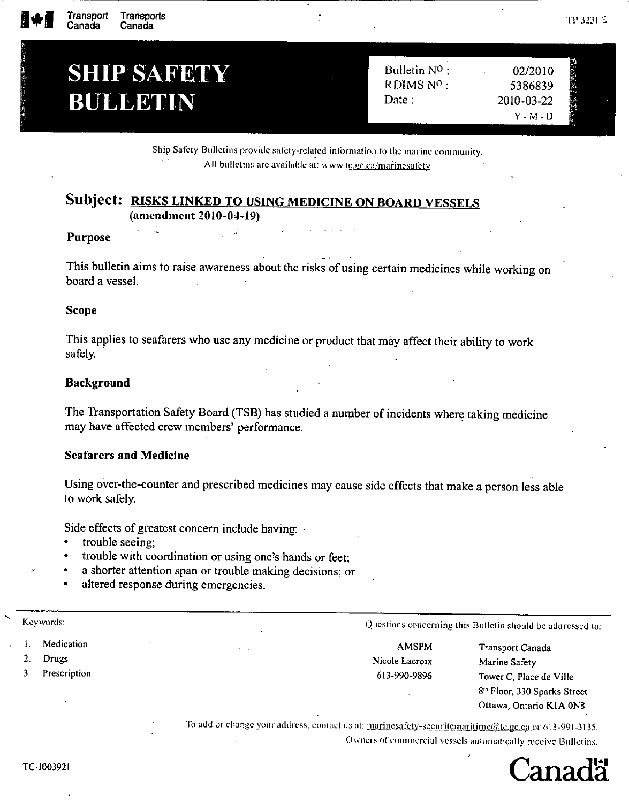# **SHIP SAFETY BULLETIN**

Δ.

Bulletin NO: 02/2010 RDIMS Nº : 5386839 Date: 2010-03-22  $Y - M - D$ 

Ship Safety Bulletins provide safety-related information to the marine community. All bulletins are available at: www.te.ge.ca/marinesafety

# Subject: RISKS LINKED TO USING MEDICINE ON BOARD VESSELS (amendment 2010-04-19)

#### **Purpose**

This bulletin aims to raise awareness about the risks of using certain medicines while working on board a vessel.

#### **Scope**

This applies to seafarers who use any medicine or product that may affect their ability to work safely.

## **Background**

The Transportation Safety Board (TSB) has studied a number of incidents where taking medicine may have affected crew members' performance.

## **Seafarers and Medicine**

Using over-the-counter and prescribed medicines may cause side effects that make a person less able to work safely.

Side effects of greatest concern include having:

- $\bullet$ trouble seeing;
- trouble with coordination or using one's hands or feet;
- a shorter attention span or trouble making decisions; or
- altered response during emergencies.

| Keywords:    |                | Questions concerning this Bulletin should be addressed to: |
|--------------|----------------|------------------------------------------------------------|
| Medication   | <b>AMSPM</b>   | Transport Canada                                           |
| Drugs        | Nicole Lacroix | Marine Safety                                              |
| Prescription | 613-990-9896   | Tower C, Place de Ville                                    |
|              |                | 8 <sup>th</sup> Floor, 330 Sparks Street                   |
|              |                | Ottawa, Ontario K1A 0N8                                    |

Owners of commercial vessels automatically receive Bulletins.